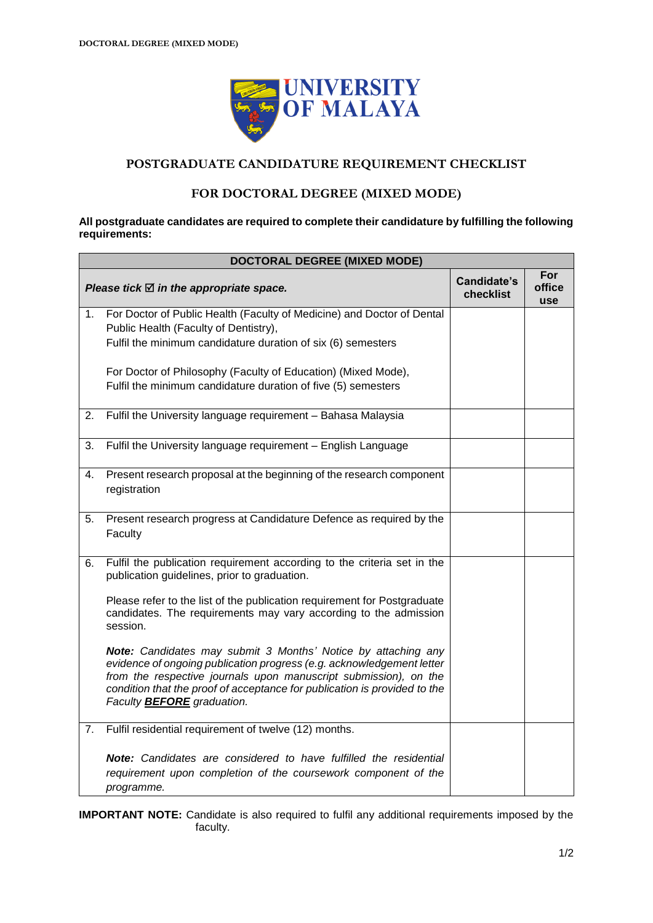

## **POSTGRADUATE CANDIDATURE REQUIREMENT CHECKLIST**

## **FOR DOCTORAL DEGREE (MIXED MODE)**

#### **All postgraduate candidates are required to complete their candidature by fulfilling the following requirements:**

| <b>DOCTORAL DEGREE (MIXED MODE)</b> |                                                                                                                                                                                                                                                                                                                                     |                          |                             |  |  |
|-------------------------------------|-------------------------------------------------------------------------------------------------------------------------------------------------------------------------------------------------------------------------------------------------------------------------------------------------------------------------------------|--------------------------|-----------------------------|--|--|
|                                     | Please tick $\boxtimes$ in the appropriate space.                                                                                                                                                                                                                                                                                   | Candidate's<br>checklist | For<br>office<br><b>use</b> |  |  |
| 1.                                  | For Doctor of Public Health (Faculty of Medicine) and Doctor of Dental<br>Public Health (Faculty of Dentistry),<br>Fulfil the minimum candidature duration of six (6) semesters                                                                                                                                                     |                          |                             |  |  |
|                                     | For Doctor of Philosophy (Faculty of Education) (Mixed Mode),<br>Fulfil the minimum candidature duration of five (5) semesters                                                                                                                                                                                                      |                          |                             |  |  |
| 2.                                  | Fulfil the University language requirement - Bahasa Malaysia                                                                                                                                                                                                                                                                        |                          |                             |  |  |
| 3.                                  | Fulfil the University language requirement - English Language                                                                                                                                                                                                                                                                       |                          |                             |  |  |
| 4.                                  | Present research proposal at the beginning of the research component<br>registration                                                                                                                                                                                                                                                |                          |                             |  |  |
| 5.                                  | Present research progress at Candidature Defence as required by the<br>Faculty                                                                                                                                                                                                                                                      |                          |                             |  |  |
| 6.                                  | Fulfil the publication requirement according to the criteria set in the<br>publication guidelines, prior to graduation.                                                                                                                                                                                                             |                          |                             |  |  |
|                                     | Please refer to the list of the publication requirement for Postgraduate<br>candidates. The requirements may vary according to the admission<br>session.                                                                                                                                                                            |                          |                             |  |  |
|                                     | <b>Note:</b> Candidates may submit 3 Months' Notice by attaching any<br>evidence of ongoing publication progress (e.g. acknowledgement letter<br>from the respective journals upon manuscript submission), on the<br>condition that the proof of acceptance for publication is provided to the<br>Faculty <b>BEFORE</b> graduation. |                          |                             |  |  |
| 7.                                  | Fulfil residential requirement of twelve (12) months.                                                                                                                                                                                                                                                                               |                          |                             |  |  |
|                                     | Note: Candidates are considered to have fulfilled the residential<br>requirement upon completion of the coursework component of the<br>programme.                                                                                                                                                                                   |                          |                             |  |  |

**IMPORTANT NOTE:** Candidate is also required to fulfil any additional requirements imposed by the faculty.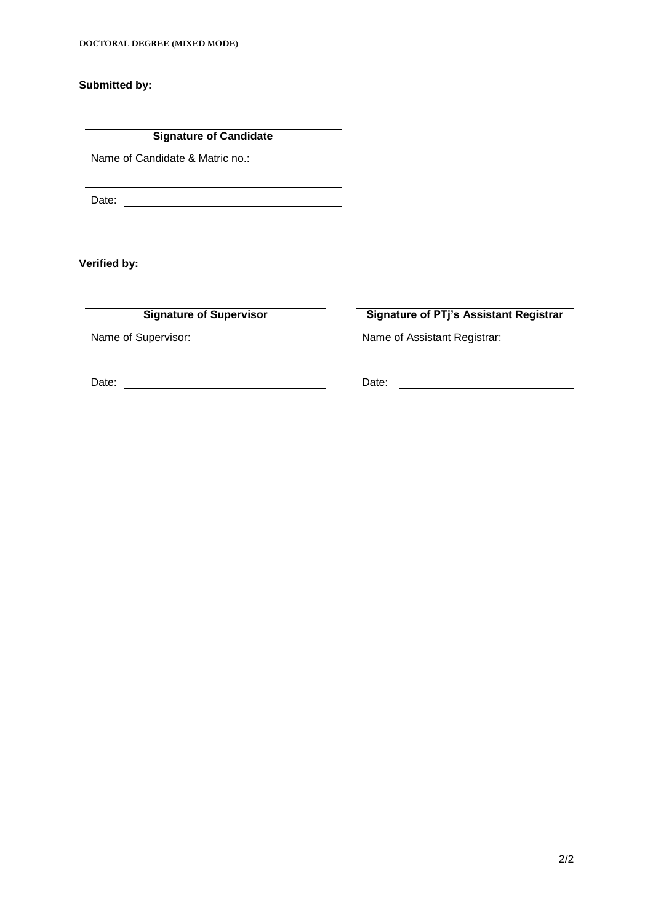**DOCTORAL DEGREE (MIXED MODE)**

**Submitted by:**

**Signature of Candidate**

Name of Candidate & Matric no.:

Date:

**Verified by:**

**Signature of Supervisor Signature of PTj's Assistant Registrar**

Name of Supervisor: Name of Assistant Registrar:

Date: Date: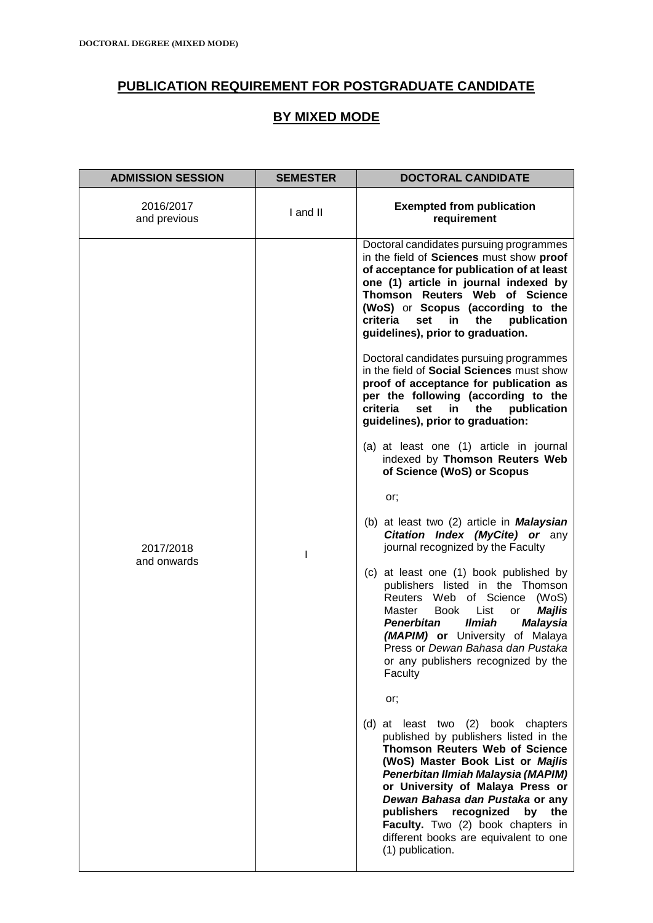# **PUBLICATION REQUIREMENT FOR POSTGRADUATE CANDIDATE**

## **BY MIXED MODE**

| <b>ADMISSION SESSION</b>  | <b>SEMESTER</b> | <b>DOCTORAL CANDIDATE</b>                                                                                                                                                                                                                                                                                                                                                                                  |  |
|---------------------------|-----------------|------------------------------------------------------------------------------------------------------------------------------------------------------------------------------------------------------------------------------------------------------------------------------------------------------------------------------------------------------------------------------------------------------------|--|
| 2016/2017<br>and previous | I and II        | <b>Exempted from publication</b><br>requirement                                                                                                                                                                                                                                                                                                                                                            |  |
|                           |                 | Doctoral candidates pursuing programmes<br>in the field of Sciences must show proof<br>of acceptance for publication of at least<br>one (1) article in journal indexed by<br>Thomson Reuters Web of Science<br>(WoS) or Scopus (according to the<br>criteria<br>the<br>set<br>in<br>publication<br>guidelines), prior to graduation.                                                                       |  |
|                           |                 | Doctoral candidates pursuing programmes<br>in the field of Social Sciences must show<br>proof of acceptance for publication as<br>per the following (according to the<br>criteria<br>publication<br>set<br>the<br>in<br>guidelines), prior to graduation:                                                                                                                                                  |  |
|                           |                 | (a) at least one (1) article in journal<br>indexed by Thomson Reuters Web<br>of Science (WoS) or Scopus                                                                                                                                                                                                                                                                                                    |  |
|                           |                 | or;                                                                                                                                                                                                                                                                                                                                                                                                        |  |
| 2017/2018                 | I               | (b) at least two (2) article in <b>Malaysian</b><br>Citation Index (MyCite) or any<br>journal recognized by the Faculty                                                                                                                                                                                                                                                                                    |  |
| and onwards               |                 | (c) at least one (1) book published by<br>publishers listed in the Thomson<br>Reuters Web of Science<br>(WoS)<br>Master<br><b>Book</b><br>List<br><b>Majlis</b><br>or<br><b>Ilmiah</b><br><b>Malaysia</b><br><b>Penerbitan</b><br>(MAPIM) or University of Malaya<br>Press or Dewan Bahasa dan Pustaka<br>or any publishers recognized by the<br>Faculty                                                   |  |
|                           |                 | or;                                                                                                                                                                                                                                                                                                                                                                                                        |  |
|                           |                 | (d) at least two (2) book chapters<br>published by publishers listed in the<br><b>Thomson Reuters Web of Science</b><br>(WoS) Master Book List or Majlis<br>Penerbitan Ilmiah Malaysia (MAPIM)<br>or University of Malaya Press or<br>Dewan Bahasa dan Pustaka or any<br>publishers recognized<br>by the<br>Faculty. Two (2) book chapters in<br>different books are equivalent to one<br>(1) publication. |  |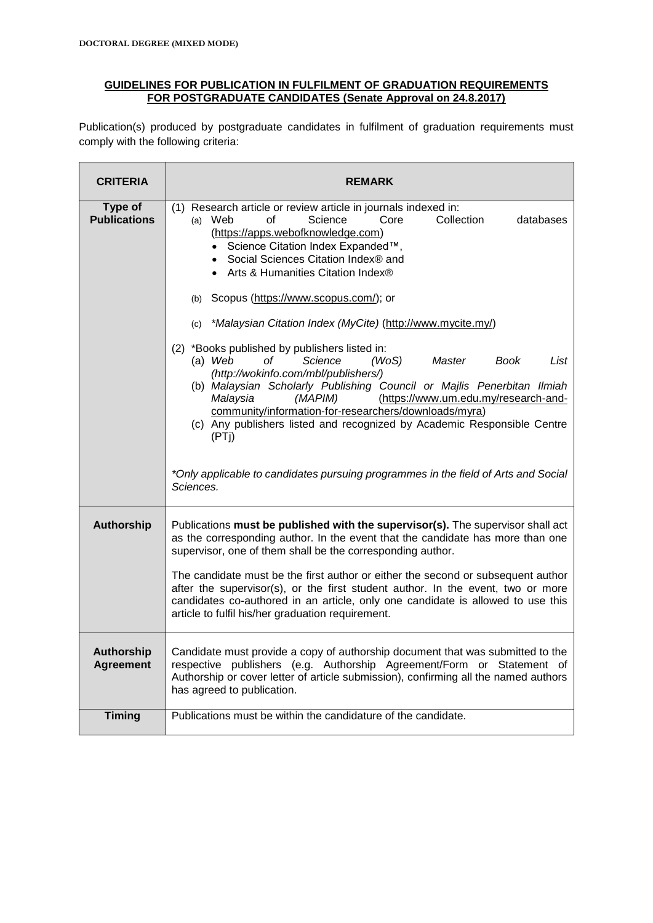### **GUIDELINES FOR PUBLICATION IN FULFILMENT OF GRADUATION REQUIREMENTS FOR POSTGRADUATE CANDIDATES (Senate Approval on 24.8.2017)**

Publication(s) produced by postgraduate candidates in fulfilment of graduation requirements must comply with the following criteria:

| <b>CRITERIA</b>                       | <b>REMARK</b>                                                                                                                                                                                                                                                                                                                                                                                                                                                                                                                                                                                                                                                                                                                                                            |  |
|---------------------------------------|--------------------------------------------------------------------------------------------------------------------------------------------------------------------------------------------------------------------------------------------------------------------------------------------------------------------------------------------------------------------------------------------------------------------------------------------------------------------------------------------------------------------------------------------------------------------------------------------------------------------------------------------------------------------------------------------------------------------------------------------------------------------------|--|
| Type of<br><b>Publications</b>        | (1) Research article or review article in journals indexed in:<br>Science<br>Core<br>Collection<br>$(a)$ Web<br>οf<br>databases<br>(https://apps.webofknowledge.com)<br>• Science Citation Index Expanded™,<br>• Social Sciences Citation Index® and<br>• Arts & Humanities Citation Index®<br>(b) Scopus (https://www.scopus.com/); or<br>*Malaysian Citation Index (MyCite) (http://www.mycite.my/)<br>(c)<br>(2) *Books published by publishers listed in:<br>$(a)$ Web<br>оf<br>(WoS)<br>Science<br>Master<br>Book<br>List<br>(http://wokinfo.com/mbl/publishers/)<br>(b) Malaysian Scholarly Publishing Council or Majlis Penerbitan Ilmiah<br>Malaysia<br>(MAPIM)<br>(https://www.um.edu.my/research-and-<br>community/information-for-researchers/downloads/myra) |  |
|                                       | (c) Any publishers listed and recognized by Academic Responsible Centre<br>(PTi)<br>*Only applicable to candidates pursuing programmes in the field of Arts and Social<br>Sciences.                                                                                                                                                                                                                                                                                                                                                                                                                                                                                                                                                                                      |  |
| <b>Authorship</b>                     | Publications must be published with the supervisor(s). The supervisor shall act<br>as the corresponding author. In the event that the candidate has more than one<br>supervisor, one of them shall be the corresponding author.<br>The candidate must be the first author or either the second or subsequent author<br>after the supervisor(s), or the first student author. In the event, two or more<br>candidates co-authored in an article, only one candidate is allowed to use this<br>article to fulfil his/her graduation requirement.                                                                                                                                                                                                                           |  |
| <b>Authorship</b><br><b>Agreement</b> | Candidate must provide a copy of authorship document that was submitted to the<br>respective publishers (e.g. Authorship Agreement/Form or Statement of<br>Authorship or cover letter of article submission), confirming all the named authors<br>has agreed to publication.                                                                                                                                                                                                                                                                                                                                                                                                                                                                                             |  |
| <b>Timing</b>                         | Publications must be within the candidature of the candidate.                                                                                                                                                                                                                                                                                                                                                                                                                                                                                                                                                                                                                                                                                                            |  |